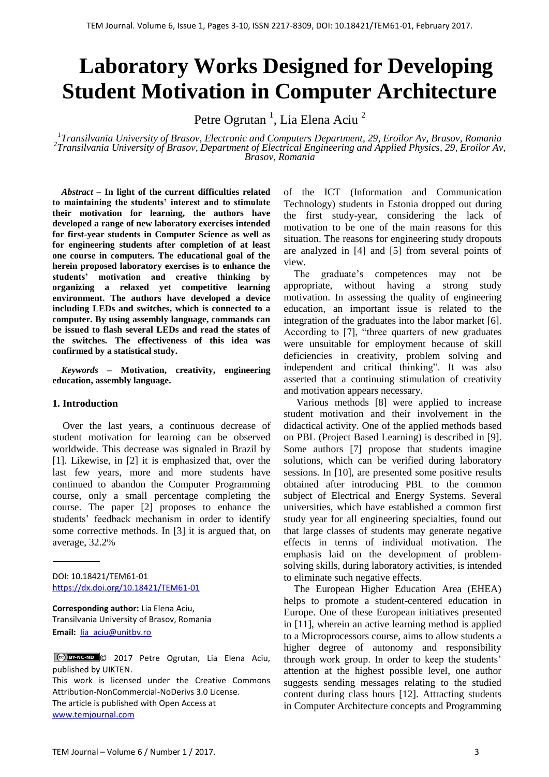# **Laboratory Works Designed for Developing Student Motivation in Computer Architecture**

Petre Ogrutan<sup>1</sup>, Lia Elena Aciu<sup>2</sup>

*1 Transilvania University of Brasov, Electronic and Computers Department, 29, Eroilor Av, Brasov, Romania 2 Transilvania University of Brasov, Department of Electrical Engineering and Applied Physics, 29, Eroilor Av, Brasov, Romania*

*Abstract –* **In light of the current difficulties related to maintaining the students' interest and to stimulate their motivation for learning, the authors have developed a range of new laboratory exercises intended for first-year students in Computer Science as well as for engineering students after completion of at least one course in computers. The educational goal of the herein proposed laboratory exercises is to enhance the students' motivation and creative thinking by organizing a relaxed yet competitive learning environment. The authors have developed a device including LEDs and switches, which is connected to a computer. By using assembly language, commands can be issued to flash several LEDs and read the states of the switches. The effectiveness of this idea was confirmed by a statistical study.**

*Keywords –* **Motivation, creativity, engineering education, assembly language.**

#### **1. Introduction**

 Over the last years, a continuous decrease of student motivation for learning can be observed worldwide. This decrease was signaled in Brazil by [1]. Likewise, in [2] it is emphasized that, over the last few years, more and more students have continued to abandon the Computer Programming course, only a small percentage completing the course. The paper [2] proposes to enhance the students' feedback mechanism in order to identify some corrective methods. In [3] it is argued that, on average, 32.2%

DOI: 10.18421/TEM61-01 <https://dx.doi.org/10.18421/TEM61-01>

**Corresponding author:** Lia Elena Aciu, Transilvania University of Brasov, Romania **Email:** [lia\\_aciu@unitbv.ro](lia_aciu@unitbv.ro)

© 2017 Petre Ogrutan, Lia Elena Aciu, published by UIKTEN.

This work is licensed under the Creative Commons Attribution-NonCommercial-NoDerivs 3.0 License. The article is published with Open Access at [www.temjournal.com](http://www.temjournal.com/)

of the ICT (Information and Communication Technology) students in Estonia dropped out during the first study-year, considering the lack of motivation to be one of the main reasons for this situation. The reasons for engineering study dropouts are analyzed in [4] and [5] from several points of view.

The graduate's competences may not be appropriate, without having a strong study motivation. In assessing the quality of engineering education, an important issue is related to the integration of the graduates into the labor market [6]. According to [7], "three quarters of new graduates were unsuitable for employment because of skill deficiencies in creativity, problem solving and independent and critical thinking". It was also asserted that a continuing stimulation of creativity and motivation appears necessary.

 Various methods [8] were applied to increase student motivation and their involvement in the didactical activity. One of the applied methods based on PBL (Project Based Learning) is described in [9]. Some authors [7] propose that students imagine solutions, which can be verified during laboratory sessions. In [10], are presented some positive results obtained after introducing PBL to the common subject of Electrical and Energy Systems. Several universities, which have established a common first study year for all engineering specialties, found out that large classes of students may generate negative effects in terms of individual motivation. The emphasis laid on the development of problemsolving skills, during laboratory activities, is intended to eliminate such negative effects.

 The European Higher Education Area (EHEA) helps to promote a student-centered education in Europe. One of these European initiatives presented in [11], wherein an active learning method is applied to a Microprocessors course, aims to allow students a higher degree of autonomy and responsibility through work group. In order to keep the students' attention at the highest possible level, one author suggests sending messages relating to the studied content during class hours [12]. Attracting students in Computer Architecture concepts and Programming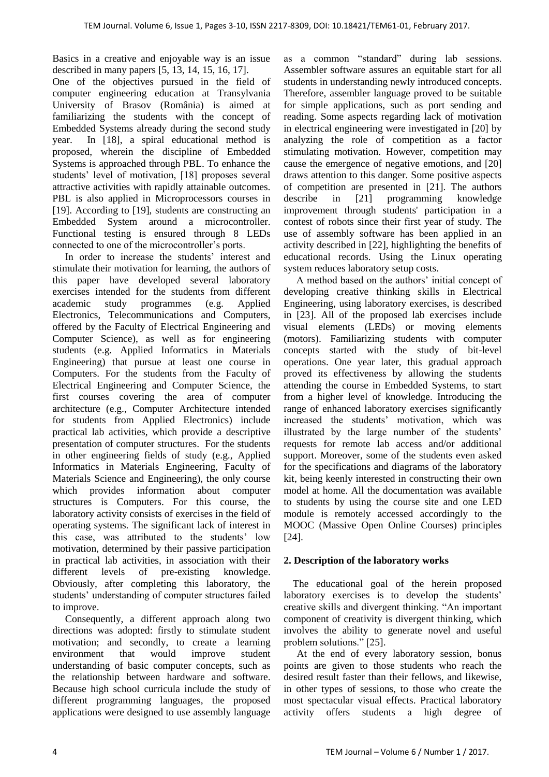Basics in a creative and enjoyable way is an issue described in many papers [5, 13, 14, 15, 16, 17].

One of the objectives pursued in the field of computer engineering education at Transylvania University of Brasov (România) is aimed at familiarizing the students with the concept of Embedded Systems already during the second study year. In [18], a spiral educational method is proposed, wherein the discipline of Embedded Systems is approached through PBL. To enhance the students' level of motivation, [18] proposes several attractive activities with rapidly attainable outcomes. PBL is also applied in Microprocessors courses in [19]. According to [19], students are constructing an Embedded System around a microcontroller. Functional testing is ensured through 8 LEDs connected to one of the microcontroller"s ports.

In order to increase the students' interest and stimulate their motivation for learning, the authors of this paper have developed several laboratory exercises intended for the students from different academic study programmes (e.g. Applied Electronics, Telecommunications and Computers, offered by the Faculty of Electrical Engineering and Computer Science), as well as for engineering students (e.g. Applied Informatics in Materials Engineering) that pursue at least one course in Computers. For the students from the Faculty of Electrical Engineering and Computer Science, the first courses covering the area of computer architecture (e.g., Computer Architecture intended for students from Applied Electronics) include practical lab activities, which provide a descriptive presentation of computer structures. For the students in other engineering fields of study (e.g., Applied Informatics in Materials Engineering, Faculty of Materials Science and Engineering), the only course which provides information about computer structures is Computers. For this course, the laboratory activity consists of exercises in the field of operating systems. The significant lack of interest in this case, was attributed to the students' low motivation, determined by their passive participation in practical lab activities, in association with their different levels of pre-existing knowledge. Obviously, after completing this laboratory, the students" understanding of computer structures failed to improve.

 Consequently, a different approach along two directions was adopted: firstly to stimulate student motivation; and secondly, to create a learning environment that would improve student understanding of basic computer concepts, such as the relationship between hardware and software. Because high school curricula include the study of different programming languages, the proposed applications were designed to use assembly language

as a common "standard" during lab sessions. Assembler software assures an equitable start for all students in understanding newly introduced concepts. Therefore, assembler language proved to be suitable for simple applications, such as port sending and reading. Some aspects regarding lack of motivation in electrical engineering were investigated in [20] by analyzing the role of competition as a factor stimulating motivation. However, competition may cause the emergence of negative emotions, and [20] draws attention to this danger. Some positive aspects of competition are presented in [21]. The authors describe in [21] programming knowledge improvement through students' participation in a contest of robots since their first year of study. The use of assembly software has been applied in an activity described in [22], highlighting the benefits of educational records. Using the Linux operating system reduces laboratory setup costs.

A method based on the authors' initial concept of developing creative thinking skills in Electrical Engineering, using laboratory exercises, is described in [23]. All of the proposed lab exercises include visual elements (LEDs) or moving elements (motors). Familiarizing students with computer concepts started with the study of bit-level operations. One year later, this gradual approach proved its effectiveness by allowing the students attending the course in Embedded Systems, to start from a higher level of knowledge. Introducing the range of enhanced laboratory exercises significantly increased the students" motivation, which was illustrated by the large number of the students' requests for remote lab access and/or additional support. Moreover, some of the students even asked for the specifications and diagrams of the laboratory kit, being keenly interested in constructing their own model at home. All the documentation was available to students by using the course site and one LED module is remotely accessed accordingly to the MOOC (Massive Open Online Courses) principles [24].

## **2. Description of the laboratory works**

The educational goal of the herein proposed laboratory exercises is to develop the students' creative skills and divergent thinking. "An important component of creativity is divergent thinking, which involves the ability to generate novel and useful problem solutions." [25].

At the end of every laboratory session, bonus points are given to those students who reach the desired result faster than their fellows, and likewise, in other types of sessions, to those who create the most spectacular visual effects. Practical laboratory activity offers students a high degree of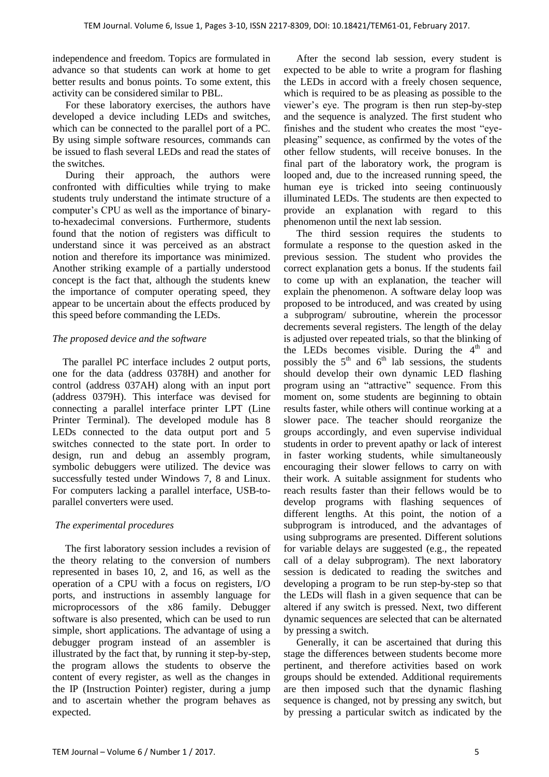independence and freedom. Topics are formulated in advance so that students can work at home to get better results and bonus points. To some extent, this activity can be considered similar to PBL.

For these laboratory exercises, the authors have developed a device including LEDs and switches, which can be connected to the parallel port of a PC. By using simple software resources, commands can be issued to flash several LEDs and read the states of the switches*.* 

During their approach, the authors were confronted with difficulties while trying to make students truly understand the intimate structure of a computer"s CPU as well as the importance of binaryto-hexadecimal conversions. Furthermore, students found that the notion of registers was difficult to understand since it was perceived as an abstract notion and therefore its importance was minimized. Another striking example of a partially understood concept is the fact that, although the students knew the importance of computer operating speed, they appear to be uncertain about the effects produced by this speed before commanding the LEDs.

## *The proposed device and the software*

 The parallel PC interface includes 2 output ports, one for the data (address 0378H) and another for control (address 037AH) along with an input port (address 0379H). This interface was devised for connecting a parallel interface printer LPT (Line Printer Terminal). The developed module has 8 LEDs connected to the data output port and 5 switches connected to the state port. In order to design, run and debug an assembly program, symbolic debuggers were utilized. The device was successfully tested under Windows 7, 8 and Linux. For computers lacking a parallel interface, USB-toparallel converters were used.

## *The experimental procedures*

 The first laboratory session includes a revision of the theory relating to the conversion of numbers represented in bases 10, 2, and 16, as well as the operation of a CPU with a focus on registers, I/O ports, and instructions in assembly language for microprocessors of the x86 family. Debugger software is also presented, which can be used to run simple, short applications. The advantage of using a debugger program instead of an assembler is illustrated by the fact that, by running it step-by-step, the program allows the students to observe the content of every register, as well as the changes in the IP (Instruction Pointer) register, during a jump and to ascertain whether the program behaves as expected.

 After the second lab session, every student is expected to be able to write a program for flashing the LEDs in accord with a freely chosen sequence, which is required to be as pleasing as possible to the viewer"s eye. The program is then run step-by-step and the sequence is analyzed. The first student who finishes and the student who creates the most "eyepleasing" sequence, as confirmed by the votes of the other fellow students, will receive bonuses. In the final part of the laboratory work, the program is looped and, due to the increased running speed, the human eye is tricked into seeing continuously illuminated LEDs. The students are then expected to provide an explanation with regard to this phenomenon until the next lab session.

 The third session requires the students to formulate a response to the question asked in the previous session. The student who provides the correct explanation gets a bonus. If the students fail to come up with an explanation, the teacher will explain the phenomenon. A software delay loop was proposed to be introduced, and was created by using a subprogram/ subroutine, wherein the processor decrements several registers. The length of the delay is adjusted over repeated trials, so that the blinking of the LEDs becomes visible. During the  $4<sup>th</sup>$  and possibly the  $5<sup>th</sup>$  and  $6<sup>th</sup>$  lab sessions, the students should develop their own dynamic LED flashing program using an "attractive" sequence. From this moment on, some students are beginning to obtain results faster, while others will continue working at a slower pace. The teacher should reorganize the groups accordingly, and even supervise individual students in order to prevent apathy or lack of interest in faster working students, while simultaneously encouraging their slower fellows to carry on with their work. A suitable assignment for students who reach results faster than their fellows would be to develop programs with flashing sequences of different lengths. At this point, the notion of a subprogram is introduced, and the advantages of using subprograms are presented. Different solutions for variable delays are suggested (e.g., the repeated call of a delay subprogram). The next laboratory session is dedicated to reading the switches and developing a program to be run step-by-step so that the LEDs will flash in a given sequence that can be altered if any switch is pressed. Next, two different dynamic sequences are selected that can be alternated by pressing a switch.

 Generally, it can be ascertained that during this stage the differences between students become more pertinent, and therefore activities based on work groups should be extended. Additional requirements are then imposed such that the dynamic flashing sequence is changed, not by pressing any switch, but by pressing a particular switch as indicated by the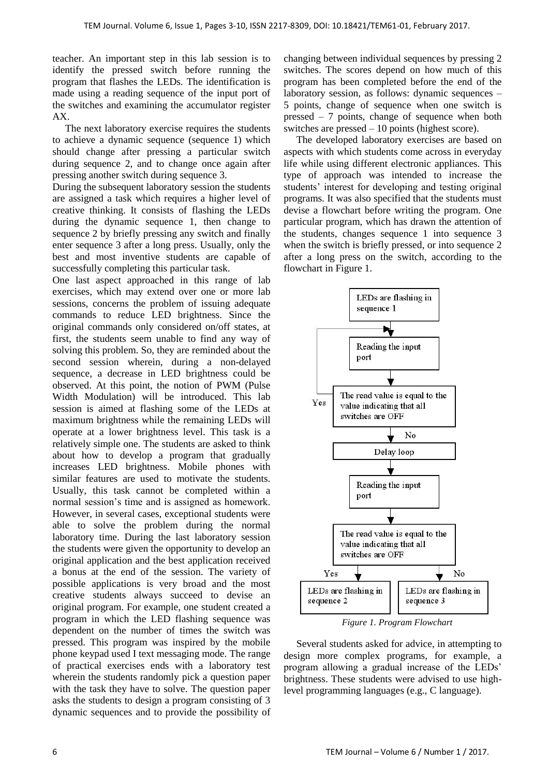teacher. An important step in this lab session is to identify the pressed switch before running the program that flashes the LEDs. The identification is made using a reading sequence of the input port of the switches and examining the accumulator register AX.

 The next laboratory exercise requires the students to achieve a dynamic sequence (sequence 1) which should change after pressing a particular switch during sequence 2, and to change once again after pressing another switch during sequence 3.

During the subsequent laboratory session the students are assigned a task which requires a higher level of creative thinking. It consists of flashing the LEDs during the dynamic sequence 1, then change to sequence 2 by briefly pressing any switch and finally enter sequence 3 after a long press. Usually, only the best and most inventive students are capable of successfully completing this particular task.

One last aspect approached in this range of lab exercises, which may extend over one or more lab sessions, concerns the problem of issuing adequate commands to reduce LED brightness. Since the original commands only considered on/off states, at first, the students seem unable to find any way of solving this problem. So, they are reminded about the second session wherein, during a non-delayed sequence, a decrease in LED brightness could be observed. At this point, the notion of PWM (Pulse Width Modulation) will be introduced. This lab session is aimed at flashing some of the LEDs at maximum brightness while the remaining LEDs will operate at a lower brightness level. This task is a relatively simple one. The students are asked to think about how to develop a program that gradually increases LED brightness. Mobile phones with similar features are used to motivate the students. Usually, this task cannot be completed within a normal session"s time and is assigned as homework. However, in several cases, exceptional students were able to solve the problem during the normal laboratory time. During the last laboratory session the students were given the opportunity to develop an original application and the best application received a bonus at the end of the session. The variety of possible applications is very broad and the most creative students always succeed to devise an original program. For example, one student created a program in which the LED flashing sequence was dependent on the number of times the switch was pressed. This program was inspired by the mobile phone keypad used I text messaging mode. The range of practical exercises ends with a laboratory test wherein the students randomly pick a question paper with the task they have to solve. The question paper asks the students to design a program consisting of 3 dynamic sequences and to provide the possibility of

changing between individual sequences by pressing 2 switches. The scores depend on how much of this program has been completed before the end of the laboratory session, as follows: dynamic sequences – 5 points, change of sequence when one switch is pressed – 7 points, change of sequence when both switches are pressed – 10 points (highest score).

 The developed laboratory exercises are based on aspects with which students come across in everyday life while using different electronic appliances. This type of approach was intended to increase the students' interest for developing and testing original programs. It was also specified that the students must devise a flowchart before writing the program. One particular program, which has drawn the attention of the students, changes sequence 1 into sequence 3 when the switch is briefly pressed, or into sequence 2 after a long press on the switch, according to the flowchart in Figure 1.



*Figure 1. Program Flowchart*

 Several students asked for advice, in attempting to design more complex programs, for example, a program allowing a gradual increase of the LEDs" brightness. These students were advised to use highlevel programming languages (e.g., C language).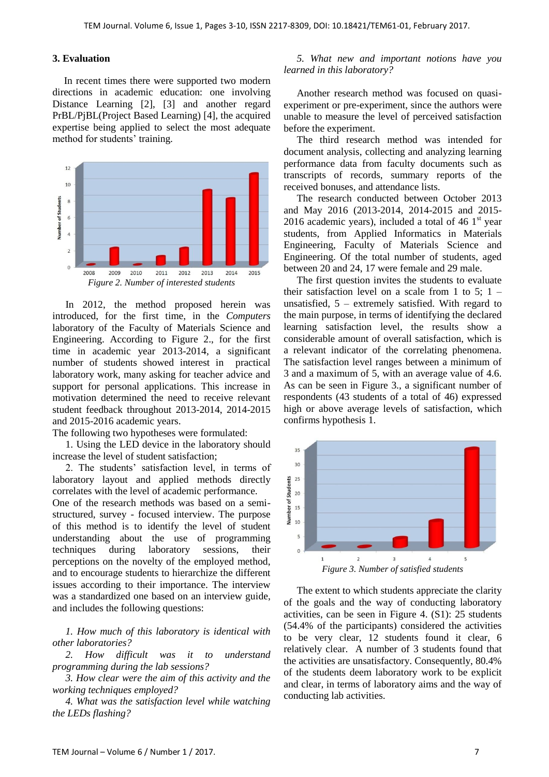## **3. Evaluation**

In recent times there were supported two modern directions in academic education: one involving Distance Learning [2], [3] and another regard PrBL/PjBL(Project Based Learning) [4], the acquired expertise being applied to select the most adequate method for students' training.



In 2012, the method proposed herein was introduced, for the first time, in the *Computers* laboratory of the Faculty of Materials Science and Engineering. According to Figure 2., for the first time in academic year 2013-2014, a significant number of students showed interest in practical laboratory work, many asking for teacher advice and support for personal applications. This increase in motivation determined the need to receive relevant student feedback throughout 2013-2014, 2014-2015 and 2015-2016 academic years.

The following two hypotheses were formulated:

1. Using the LED device in the laboratory should increase the level of student satisfaction;

2. The students" satisfaction level, in terms of laboratory layout and applied methods directly correlates with the level of academic performance.

One of the research methods was based on a semistructured, survey - focused interview. The purpose of this method is to identify the level of student understanding about the use of programming techniques during laboratory sessions, their perceptions on the novelty of the employed method, and to encourage students to hierarchize the different issues according to their importance. The interview was a standardized one based on an interview guide, and includes the following questions:

*1. How much of this laboratory is identical with other laboratories?*

*2. How difficult was it to understand programming during the lab sessions?*

*3. How clear were the aim of this activity and the working techniques employed?* 

*4. What was the satisfaction level while watching the LEDs flashing?* 

#### *5. What new and important notions have you learned in this laboratory?*

Another research method was focused on quasiexperiment or pre-experiment, since the authors were unable to measure the level of perceived satisfaction before the experiment.

The third research method was intended for document analysis, collecting and analyzing learning performance data from faculty documents such as transcripts of records, summary reports of the received bonuses, and attendance lists.

The research conducted between October 2013 and May 2016 (2013-2014, 2014-2015 and 2015- 2016 academic years), included a total of 46  $1<sup>st</sup>$  year students, from Applied Informatics in Materials Engineering, Faculty of Materials Science and Engineering. Of the total number of students, aged between 20 and 24, 17 were female and 29 male.

The first question invites the students to evaluate their satisfaction level on a scale from 1 to 5:  $1$ unsatisfied,  $5$  – extremely satisfied. With regard to the main purpose, in terms of identifying the declared learning satisfaction level, the results show a considerable amount of overall satisfaction, which is a relevant indicator of the correlating phenomena. The satisfaction level ranges between a minimum of 3 and a maximum of 5, with an average value of 4.6. As can be seen in Figure 3., a significant number of respondents (43 students of a total of 46) expressed high or above average levels of satisfaction, which confirms hypothesis 1.



The extent to which students appreciate the clarity of the goals and the way of conducting laboratory activities, can be seen in Figure 4. (S1): 25 students (54.4% of the participants) considered the activities to be very clear, 12 students found it clear, 6 relatively clear. A number of 3 students found that the activities are unsatisfactory. Consequently, 80.4% of the students deem laboratory work to be explicit and clear, in terms of laboratory aims and the way of conducting lab activities.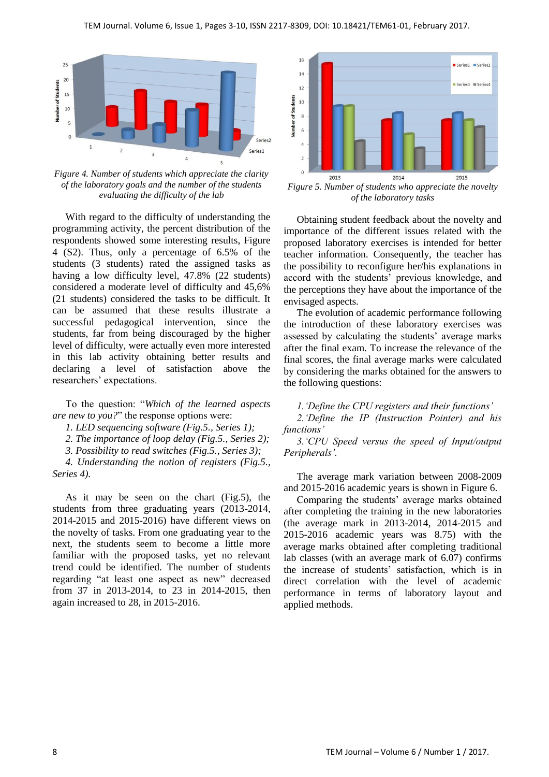

*Figure 4. Number of students which appreciate the clarity of the laboratory goals and the number of the students evaluating the difficulty of the lab*

With regard to the difficulty of understanding the programming activity, the percent distribution of the respondents showed some interesting results, Figure 4 (S2). Thus, only a percentage of 6.5% of the students (3 students) rated the assigned tasks as having a low difficulty level, 47.8% (22 students) considered a moderate level of difficulty and 45,6% (21 students) considered the tasks to be difficult. It can be assumed that these results illustrate a successful pedagogical intervention, since the students, far from being discouraged by the higher level of difficulty, were actually even more interested in this lab activity obtaining better results and declaring a level of satisfaction above the researchers' expectations.

To the question: "*Which of the learned aspects are new to you?*" the response options were:

*1. LED sequencing software (Fig.5., Series 1);* 

*2. The importance of loop delay (Fig.5., Series 2);* 

*3. Possibility to read switches (Fig.5., Series 3);* 

*4. Understanding the notion of registers (Fig.5., Series 4).*

As it may be seen on the chart (Fig.5), the students from three graduating years (2013-2014, 2014-2015 and 2015-2016) have different views on the novelty of tasks. From one graduating year to the next, the students seem to become a little more familiar with the proposed tasks, yet no relevant trend could be identified. The number of students regarding "at least one aspect as new" decreased from 37 in 2013-2014, to 23 in 2014-2015, then again increased to 28, in 2015-2016.



*Figure 5. Number of students who appreciate the novelty of the laboratory tasks*

Obtaining student feedback about the novelty and importance of the different issues related with the proposed laboratory exercises is intended for better teacher information. Consequently, the teacher has the possibility to reconfigure her/his explanations in accord with the students" previous knowledge, and the perceptions they have about the importance of the envisaged aspects.

The evolution of academic performance following the introduction of these laboratory exercises was assessed by calculating the students' average marks after the final exam. To increase the relevance of the final scores, the final average marks were calculated by considering the marks obtained for the answers to the following questions:

*1.'Define the CPU registers and their functions'* 

*2.'Define the IP (Instruction Pointer) and his functions'* 

*3.'CPU Speed versus the speed of Input/output Peripherals'.* 

The average mark variation between 2008-2009 and 2015-2016 academic years is shown in Figure 6.

Comparing the students" average marks obtained after completing the training in the new laboratories (the average mark in 2013-2014, 2014-2015 and 2015-2016 academic years was 8.75) with the average marks obtained after completing traditional lab classes (with an average mark of 6.07) confirms the increase of students' satisfaction, which is in direct correlation with the level of academic performance in terms of laboratory layout and applied methods.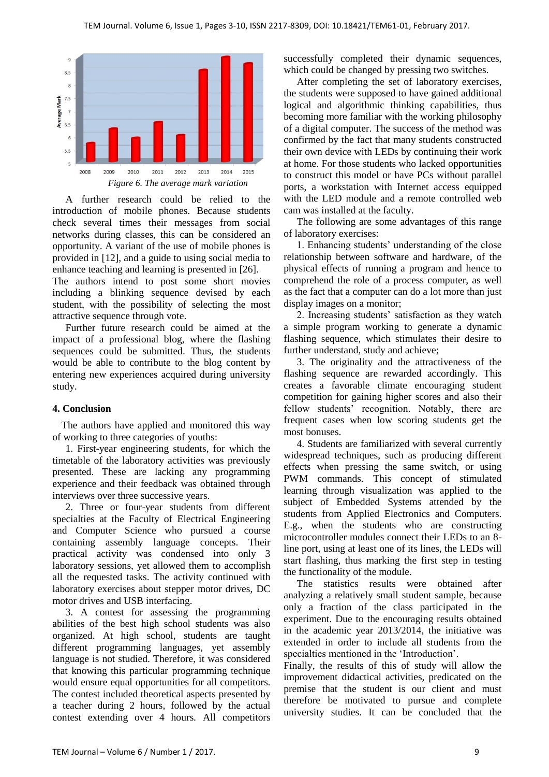

A further research could be relied to the introduction of mobile phones. Because students check several times their messages from social networks during classes, this can be considered an opportunity. A variant of the use of mobile phones is provided in [12], and a guide to using social media to enhance teaching and learning is presented in [26].

The authors intend to post some short movies including a blinking sequence devised by each student, with the possibility of selecting the most attractive sequence through vote.

Further future research could be aimed at the impact of a professional blog, where the flashing sequences could be submitted. Thus, the students would be able to contribute to the blog content by entering new experiences acquired during university study.

#### **4. Conclusion**

The authors have applied and monitored this way of working to three categories of youths:

1. First-year engineering students, for which the timetable of the laboratory activities was previously presented. These are lacking any programming experience and their feedback was obtained through interviews over three successive years.

2. Three or four-year students from different specialties at the Faculty of Electrical Engineering and Computer Science who pursued a course containing assembly language concepts. Their practical activity was condensed into only 3 laboratory sessions, yet allowed them to accomplish all the requested tasks. The activity continued with laboratory exercises about stepper motor drives, DC motor drives and USB interfacing.

3. A contest for assessing the programming abilities of the best high school students was also organized. At high school, students are taught different programming languages, yet assembly language is not studied. Therefore, it was considered that knowing this particular programming technique would ensure equal opportunities for all competitors. The contest included theoretical aspects presented by a teacher during 2 hours, followed by the actual contest extending over 4 hours. All competitors successfully completed their dynamic sequences, which could be changed by pressing two switches.

After completing the set of laboratory exercises, the students were supposed to have gained additional logical and algorithmic thinking capabilities, thus becoming more familiar with the working philosophy of a digital computer. The success of the method was confirmed by the fact that many students constructed their own device with LEDs by continuing their work at home. For those students who lacked opportunities to construct this model or have PCs without parallel ports, a workstation with Internet access equipped with the LED module and a remote controlled web cam was installed at the faculty.

The following are some advantages of this range of laboratory exercises:

1. Enhancing students" understanding of the close relationship between software and hardware, of the physical effects of running a program and hence to comprehend the role of a process computer, as well as the fact that a computer can do a lot more than just display images on a monitor;

2. Increasing students" satisfaction as they watch a simple program working to generate a dynamic flashing sequence, which stimulates their desire to further understand, study and achieve;

3. The originality and the attractiveness of the flashing sequence are rewarded accordingly. This creates a favorable climate encouraging student competition for gaining higher scores and also their fellow students' recognition. Notably, there are frequent cases when low scoring students get the most bonuses.

4. Students are familiarized with several currently widespread techniques, such as producing different effects when pressing the same switch, or using PWM commands. This concept of stimulated learning through visualization was applied to the subject of Embedded Systems attended by the students from Applied Electronics and Computers. E.g., when the students who are constructing microcontroller modules connect their LEDs to an 8 line port, using at least one of its lines, the LEDs will start flashing, thus marking the first step in testing the functionality of the module.

The statistics results were obtained after analyzing a relatively small student sample, because only a fraction of the class participated in the experiment. Due to the encouraging results obtained in the academic year 2013/2014, the initiative was extended in order to include all students from the specialties mentioned in the "Introduction".

Finally, the results of this of study will allow the improvement didactical activities, predicated on the premise that the student is our client and must therefore be motivated to pursue and complete university studies. It can be concluded that the